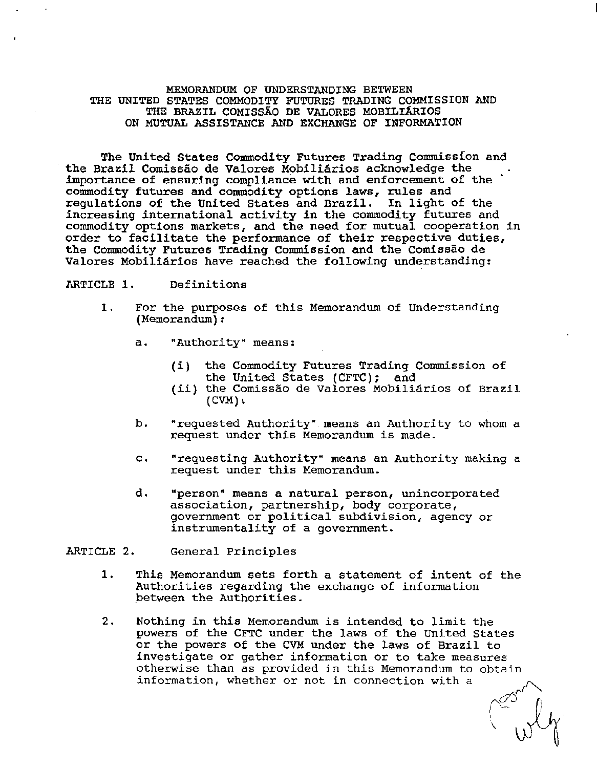## MEMORANDUM OF UNDERSTANDING BETWEEN THE UNITED STATES COMMODITY FUTURES TRADING COMMISSION AND THE BRAZIL COMISSAO DE VALORES MOBILIARIOS ON MUTUAL ASSISTANCE AND EXCHANGE OF INFORMATION

The United States Commodity Futures Trading Commission and the Brazil Comissão de Valores Mobiliários acknowledge the importance of ensuring compliance with and enforcement of the commodity futures and commodity options laws, rules and regulations of the United States and Brazil. In light of the increasing international activity in the commodity futures and commodity options markets, and the need for mutual cooperation in order to facilitate the performance of their respective duties, the Commodity Futures Trading Commission and the Comissao de Valores Mobiliários have reached the following understanding:

## ARTICLE 1. Definitions

- 1. For the purposes of this Memorandum of Understanding (Memorandum} *:* 
	- a. "Authority" means:
		- (i} the Commodity Futures Trading Commission of the United States (CFTC); and
		- (ii) the Comissao de Valores Mobiliarios of Brazil  $(CVM)$
	- b. "requested Authority" means an Authority to whom a request under this Memorandum is made.
	- c. "requesting Authority" means an Authority making a request under this Memorandum.
	- d. "person" means a natural person, unincorporated association, partnership, body corporate, government or political subdivision, agency or instrumentality of a government.

ARTICLE 2. General Principles

- 1. This Memorandum sets forth a statement of intent of the Authorities regarding the exchange of information .between the Authorities.
- 2. Nothing in this Memorandum is intended to limit the powers of the CFTC under the laws of the United States or the powers of the CVM under the laws of Brazil to investigate or gather information or to take measures otherwise than as provided in this Memorandum to obtain information, whether or not in connection with a

 $\begin{matrix} \mathbb{Z}^3 \\ \mathbb{Z}^4 \end{matrix}$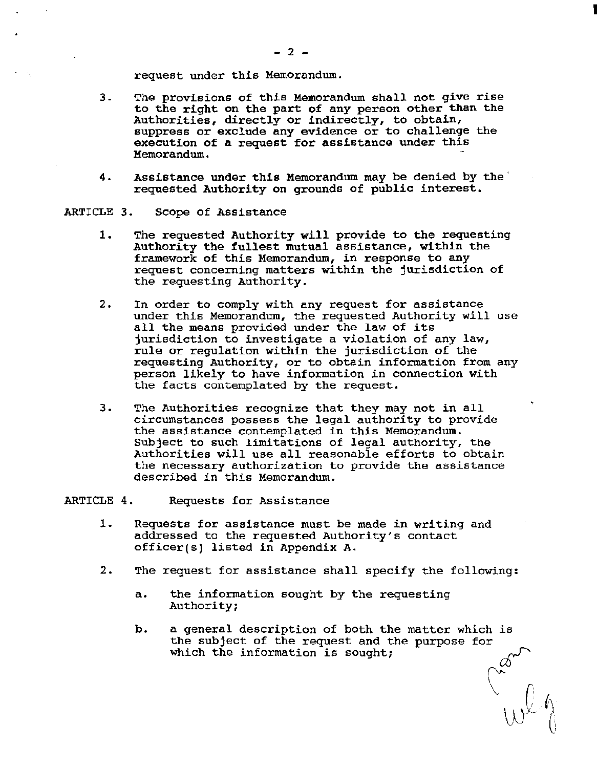request under this Memorandum.

- 3. The provisions of this Memorandum shall not give rise to the right on the part of any person other than the Authorities, directly or indirectly, to obtain, suppress or exclude any evidence or to challenge the execution of a request for assistance under this Memorandum. -
- 4. Assistance under this Memorandum may be denied by the' requested Authority on grounds of public interest.

ARTICLE 3. Scope of Assistance

- 1. The requested Authority will provide to the requesting Authority the fullest mutual assistance, within the framework of this Memorandum, in response to any request concerning matters within the jurisdiction of the requesting Authority.
- 2. In order to comply with any request for assistance under this Memorandum, the requested Authority will use all the means provided under the law of its jurisdiction to investigate a violation of any law, rule or regulation within the jurisdiction of the requesting Authority, or to obtain information from any person likely to have information in connection with the facts contemplated by the request.
- 3. The Authorities recognize that they may not in all circumstances possess the legal authority to provide the assistance contemplated in this Memorandum. Subject to such limitations of legal authority, the Authorities will use all reasonable efforts to obtain the necessary authorization to provide the assistance described in this Memorandum.

ARTICLE 4. Requests for Assistance

- 1. Requests for assistance must be made in writing and addressed to the requested Authority's contact officer(s) listed in Appendix A.
- 2. The request for assistance shall specify the following:
	- a. the information sought by the requesting Authority;
	- b. a general description of both the matter which is the subject of the request and the purpose for a general description of both the matter which is<br>the subject of the request and the purpose for<br>which the information is sought;

 $\vee$  r

 $\bigtriangledown$  ( $\bigwedge$  $\bigcup_{\mathcal{C}} \bigoplus_{\ell=1}^{\infty} \bigoplus_{\ell=1}^{\infty} \bigoplus_{\ell=1}^{\infty} \bigoplus_{\ell=1}^{\infty} \bigoplus_{\ell=1}^{\infty} \bigoplus_{\ell=1}^{\infty} \bigoplus_{\ell=1}^{\infty} \bigoplus_{\ell=1}^{\infty} \bigoplus_{\ell=1}^{\infty} \bigoplus_{\ell=1}^{\infty} \bigoplus_{\ell=1}^{\infty} \bigoplus_{\ell=1}^{\infty} \bigoplus_{\ell=1}^{\infty} \bigoplus_{\ell=1}^{\infty}$  I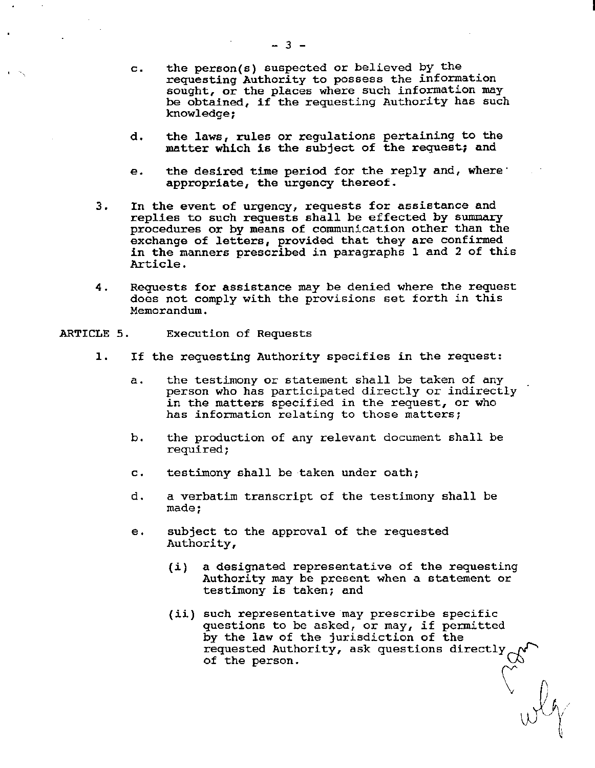- c. the person(s) suspected or believed by the requesting Authority to possess the information sought, or the places where such information may be obtained, if the requesting Authority has such knowledge;
- d. the laws, rules or regulations pertaining to the matter which is the subject of the request; and
- e. the desired time period for the reply and, where· appropriate, the urgency thereof.
- 3. In the event of urgency, requests for assistance and replies to such requests shall be effected by summary procedures or by means of communication other than the exchange of letters, provided that they are confirmed in the manners prescribed in paragraphs 1 and 2 of this Article.
- 4. Requests for assistance may be denied where the request does not comply with the provisions set forth *in* this Memorandum.
- ARTICLE 5. Execution of Requests
	- 1. If the requesting Authority specifies in the request:
		- a. the testimony or statement shall be taken of any person who has participated directly or indirectly in the matters specified in the request, or who has information relating to those matters;
		- b. the production of any relevant document shall be required;
		- c. testimony shall be taken under oath;
		- d. a verbatim transcript of the testimony shall be made;
		- e. subject to the approval of the requested Authority,
			- (i) a designated representative of the requesting Authority may be present when a statement or testimony is taken; and
			- (ii) such representative may prescribe specific questions to be asked, or may, if permitted by the law of the jurisdiction of the requested Authority, ask questions directly ~ of the person. *\.J::J*   $\bigvee_{\lambda}^{\infty}$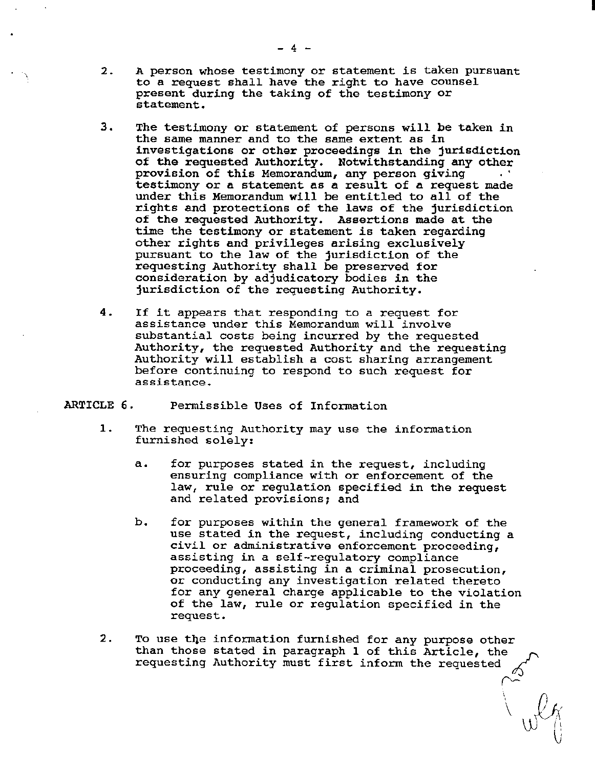- 2. A person whose testimony or statement *is* taken pursuant to a request shall have the right to have counsel present during the taking of the testimony or statement.
- 3. The testimony or statement of persons will be taken in the same manner and to the same extent as *in*  investigations or other proceedings *in* the jurisdiction of the requested Authority. Notwithstanding any other<br>provision of this Memorandum, any person giving testimony or a statement as a result of a request made under this Memorandum will be entitled to all of the rights and protections of the laws of the jurisdiction of the requested Authority. Assertions made at the time the testimony or statement is taken regarding other rights and privileges arising exclusively pursuant to the law of the jurisdiction of the requesting Authority shall be preserved for consideration by adjudicatory bodies in the jurisdiction of the requesting Authority.
- 4. If it appears that responding to a request for assistance under this Memorandum will involve substantial costs being incurred by the requested Authority, the requested Authority and the requesting Authority will establish a cost sharing arrangement before continuing to respond to such request for assistance.
- ARTICLE 6. Permissible Uses of Information
	- 1. The requesting Authority may use the information furnished solely:
		- a. for purposes stated in the request, including ensuring compliance with or enforcement of the law, rule or regulation specified *in* the request and related provisions; and
		- b. for purposes within the general framework of the use stated in the request, including conducting a *civil* or administrative enforcement proceeding, assisting *in* a self-regulatory compliance proceeding, assisting in a criminal prosecution, or conducting any investigation related thereto for any general charge applicable to the violation of the law, rule or regulation specified in the request.
	- 2. To use the information furnished for any purpose other than those stated in paragraph 1 of this Article, the requesting Authority must first inform the requested ~

 $\sim$   $\sim$ 

 $\Delta_{\rm II}$ 

 $\bigcup_{i=1}^{n}$ 

I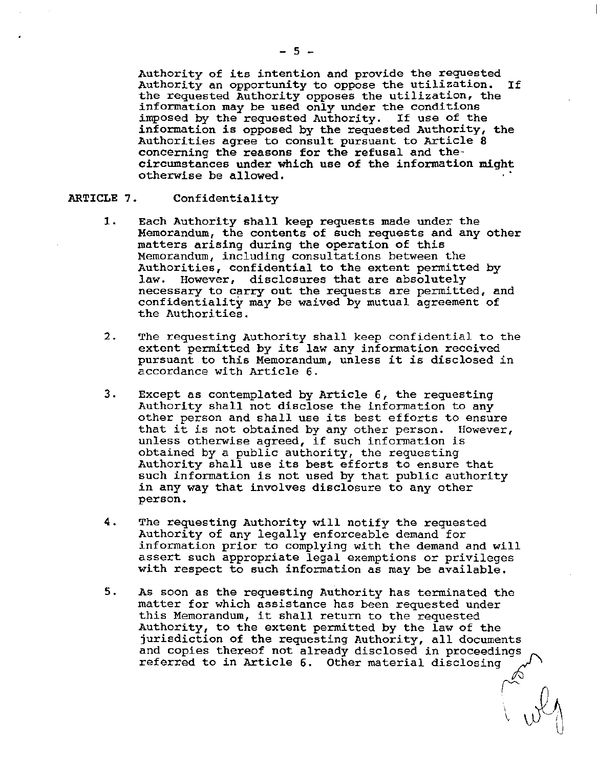Authority of its intention and provide the requested Authority an opportunity to oppose the utilization. If the requested Authority opposes the utilization, the information may be used only under the conditions imposed by the requested Authority. If use of the information is opposed by the requested Authority, the Authorities agree to consult pursuant to Article 8 concerning the reasons for the refusal and thecircumstances under which use of the information might otherwise be allowed.

### ARTICLE 7. Confidentiality

- 1. Each Authority shall keep requests made under the Memorandum, the contents of such requests and any other matters arising during the operation of this Memorandum, including consultations between the Authorities, confidential to the extent permitted by<br>law. However, disclosures that are absolutely However, disclosures that are absolutely necessary to carry out the requests are permitted, and confidentiality may be waived by mutual agreement of the Authorities.
- 2. The requesting Authority shall keep confidential to the extent permitted by its law any information received pursuant to this Memorandum, unless it is disclosed in accordance with Article 6.
- 3. Except as contemplated by Article 6, the requesting Authority shall not disclose the information to any other person and shall use its best efforts to ensure that it is not obtained by any other person. However, unless otherwise agreed, if such information is obtained by a public authority, the requesting Authority shall use its best efforts to ensure that such information is not used by that public authority *in* any way that involves disclosure to any other person.
- 4. The requesting Authority will notify the requested Authority of any legally enforceable demand for information prior to complying with the demand and will assert such appropriate legal exemptions or privileges with respect to such information as may be available.
- 5. As soon as the requesting Authority has terminated the matter for which assistance has been requested under this Memorandum, it shall return to the requested Authority, to the extent permitted by the law of the jurisdiction of the requesting Authority, all documents and copies thereof not already disclosed in proceedings~ referred to in Article 6. Other material disclosing

 $\sim$   $\omega$   $\sim$   $\omega$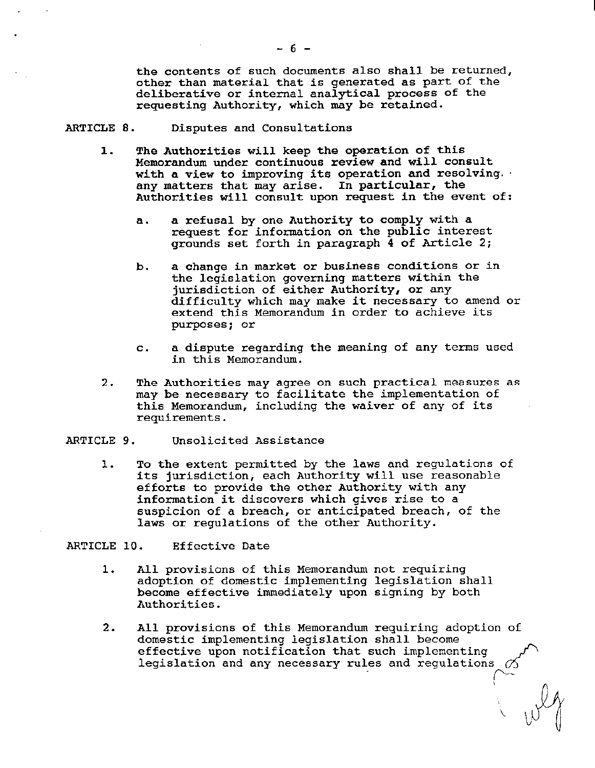the contents of such documents also shall be returned, other than material that is generated as part of the deliberative or internal analytical process of the requesting Authority, which may be retained.

## ARTICLE 8. Disputes and Consultations

- 1. The Authorities will keep the operation of this Memorandum under continuous review and will consult with a view to improving its operation and resolving. any matters that may arise. In particular, the Authorities will consult upon request in the event of:
	- a. a refusal by one Authority to comply with a request for information on the public interest grounds set forth in paragraph 4 of Article 2;
	- b. a change in market or business conditions or in the legislation governing matters within the jurisdiction of either Authority, or any difficulty which may make it necessary to amend or extend this Memorandum *in* order to achieve its purposes; or
	- c. a dispute regarding the meaning of any terms used in this Memorandum.
- 2. The Authorities may agree on such practical measures as may be necessary to facilitate the implementation of this Memorandum, including the waiver of any of its requirements.

### ARTICLE 9. Unsolicited Assistance

l. To the extent permitted by the laws and regulations of its jurisdiction, each Authority will use reasonable efforts to provide the other Authority with any information it discovers which gives rise to a suspicion of a breach, or anticipated breach, of the laws or regulations of the other Authority.

### ARTICLE 10. Effective Date

- 1. All provisions of this Memorandum not requiring adoption of domestic implementing legislation shall become effective immediately upon signing by-both Authorities.
- 2. All provisions of this Memorandum requiring adoption of domestic implementing legislation shall become effective upon notification that such implementing ~ legislation and any necessary rules and regulations *o5*  ('-